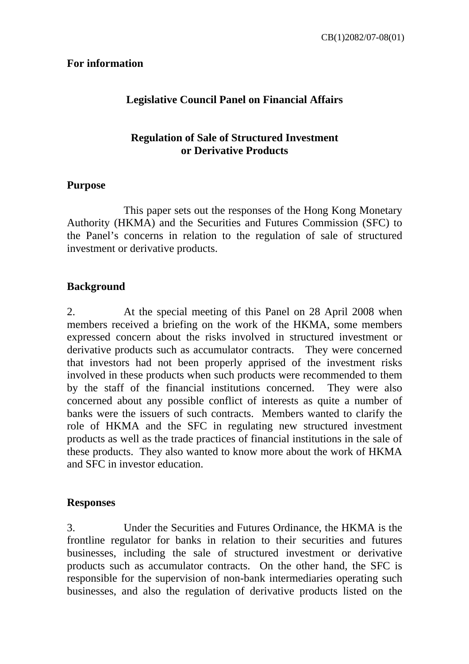### **For information**

# **Legislative Council Panel on Financial Affairs**

### **Regulation of Sale of Structured Investment or Derivative Products**

#### **Purpose**

 This paper sets out the responses of the Hong Kong Monetary Authority (HKMA) and the Securities and Futures Commission (SFC) to the Panel's concerns in relation to the regulation of sale of structured investment or derivative products.

#### **Background**

2. At the special meeting of this Panel on 28 April 2008 when members received a briefing on the work of the HKMA, some members expressed concern about the risks involved in structured investment or derivative products such as accumulator contracts. They were concerned that investors had not been properly apprised of the investment risks involved in these products when such products were recommended to them by the staff of the financial institutions concerned. They were also concerned about any possible conflict of interests as quite a number of banks were the issuers of such contracts. Members wanted to clarify the role of HKMA and the SFC in regulating new structured investment products as well as the trade practices of financial institutions in the sale of these products. They also wanted to know more about the work of HKMA and SFC in investor education.

#### **Responses**

3. Under the Securities and Futures Ordinance, the HKMA is the frontline regulator for banks in relation to their securities and futures businesses, including the sale of structured investment or derivative products such as accumulator contracts. On the other hand, the SFC is responsible for the supervision of non-bank intermediaries operating such businesses, and also the regulation of derivative products listed on the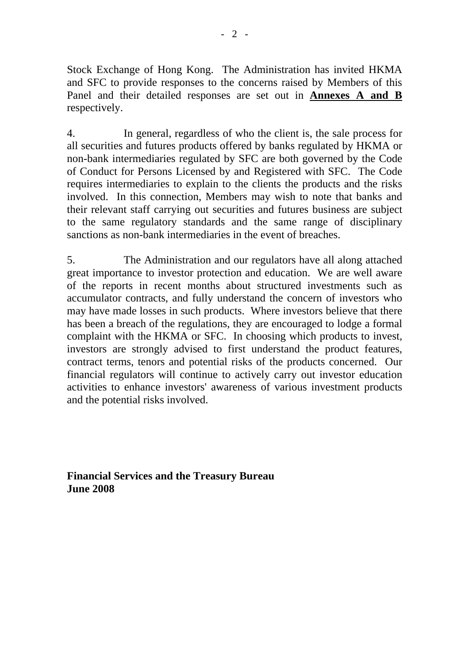Stock Exchange of Hong Kong. The Administration has invited HKMA and SFC to provide responses to the concerns raised by Members of this Panel and their detailed responses are set out in **Annexes A and B** respectively.

4. In general, regardless of who the client is, the sale process for all securities and futures products offered by banks regulated by HKMA or non-bank intermediaries regulated by SFC are both governed by the Code of Conduct for Persons Licensed by and Registered with SFC. The Code requires intermediaries to explain to the clients the products and the risks involved. In this connection, Members may wish to note that banks and their relevant staff carrying out securities and futures business are subject to the same regulatory standards and the same range of disciplinary sanctions as non-bank intermediaries in the event of breaches.

5. The Administration and our regulators have all along attached great importance to investor protection and education. We are well aware of the reports in recent months about structured investments such as accumulator contracts, and fully understand the concern of investors who may have made losses in such products. Where investors believe that there has been a breach of the regulations, they are encouraged to lodge a formal complaint with the HKMA or SFC. In choosing which products to invest, investors are strongly advised to first understand the product features, contract terms, tenors and potential risks of the products concerned. Our financial regulators will continue to actively carry out investor education activities to enhance investors' awareness of various investment products and the potential risks involved.

**Financial Services and the Treasury Bureau June 2008**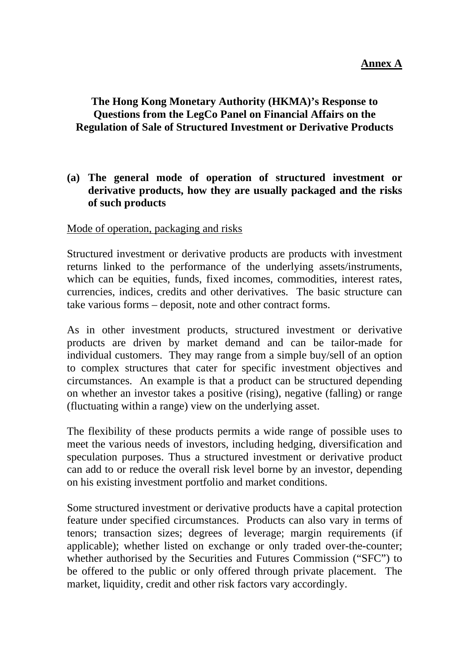# **The Hong Kong Monetary Authority (HKMA)'s Response to Questions from the LegCo Panel on Financial Affairs on the Regulation of Sale of Structured Investment or Derivative Products**

### **(a) The general mode of operation of structured investment or derivative products, how they are usually packaged and the risks of such products**

#### Mode of operation, packaging and risks

Structured investment or derivative products are products with investment returns linked to the performance of the underlying assets/instruments, which can be equities, funds, fixed incomes, commodities, interest rates, currencies, indices, credits and other derivatives. The basic structure can take various forms – deposit, note and other contract forms.

As in other investment products, structured investment or derivative products are driven by market demand and can be tailor-made for individual customers. They may range from a simple buy/sell of an option to complex structures that cater for specific investment objectives and circumstances. An example is that a product can be structured depending on whether an investor takes a positive (rising), negative (falling) or range (fluctuating within a range) view on the underlying asset.

The flexibility of these products permits a wide range of possible uses to meet the various needs of investors, including hedging, diversification and speculation purposes. Thus a structured investment or derivative product can add to or reduce the overall risk level borne by an investor, depending on his existing investment portfolio and market conditions.

Some structured investment or derivative products have a capital protection feature under specified circumstances. Products can also vary in terms of tenors; transaction sizes; degrees of leverage; margin requirements (if applicable); whether listed on exchange or only traded over-the-counter; whether authorised by the Securities and Futures Commission ("SFC") to be offered to the public or only offered through private placement. The market, liquidity, credit and other risk factors vary accordingly.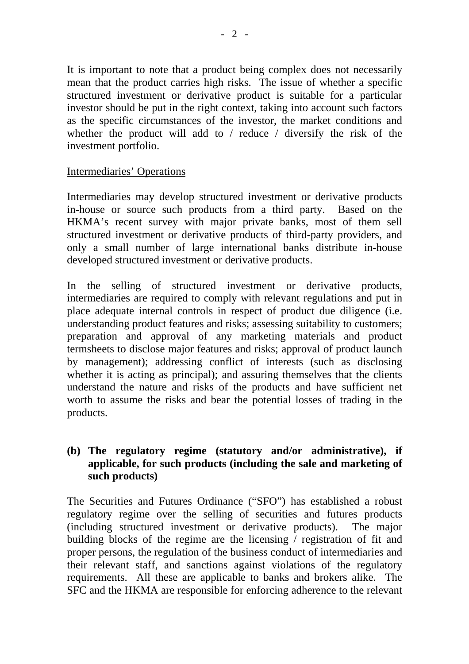It is important to note that a product being complex does not necessarily mean that the product carries high risks. The issue of whether a specific structured investment or derivative product is suitable for a particular investor should be put in the right context, taking into account such factors as the specific circumstances of the investor, the market conditions and whether the product will add to / reduce / diversify the risk of the investment portfolio.

### Intermediaries' Operations

Intermediaries may develop structured investment or derivative products in-house or source such products from a third party. Based on the HKMA's recent survey with major private banks, most of them sell structured investment or derivative products of third-party providers, and only a small number of large international banks distribute in-house developed structured investment or derivative products.

In the selling of structured investment or derivative products, intermediaries are required to comply with relevant regulations and put in place adequate internal controls in respect of product due diligence (i.e. understanding product features and risks; assessing suitability to customers; preparation and approval of any marketing materials and product termsheets to disclose major features and risks; approval of product launch by management); addressing conflict of interests (such as disclosing whether it is acting as principal); and assuring themselves that the clients understand the nature and risks of the products and have sufficient net worth to assume the risks and bear the potential losses of trading in the products.

# **(b) The regulatory regime (statutory and/or administrative), if applicable, for such products (including the sale and marketing of such products)**

The Securities and Futures Ordinance ("SFO") has established a robust regulatory regime over the selling of securities and futures products (including structured investment or derivative products). The major building blocks of the regime are the licensing / registration of fit and proper persons, the regulation of the business conduct of intermediaries and their relevant staff, and sanctions against violations of the regulatory requirements. All these are applicable to banks and brokers alike. The SFC and the HKMA are responsible for enforcing adherence to the relevant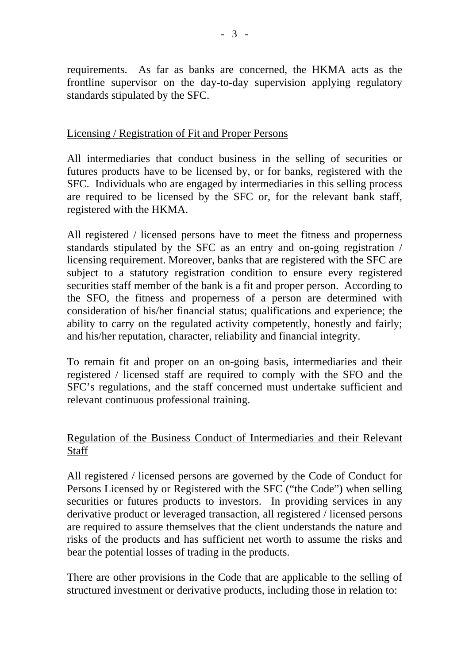requirements. As far as banks are concerned, the HKMA acts as the frontline supervisor on the day-to-day supervision applying regulatory standards stipulated by the SFC.

### Licensing / Registration of Fit and Proper Persons

All intermediaries that conduct business in the selling of securities or futures products have to be licensed by, or for banks, registered with the SFC. Individuals who are engaged by intermediaries in this selling process are required to be licensed by the SFC or, for the relevant bank staff, registered with the HKMA.

All registered / licensed persons have to meet the fitness and properness standards stipulated by the SFC as an entry and on-going registration / licensing requirement. Moreover, banks that are registered with the SFC are subject to a statutory registration condition to ensure every registered securities staff member of the bank is a fit and proper person. According to the SFO, the fitness and properness of a person are determined with consideration of his/her financial status; qualifications and experience; the ability to carry on the regulated activity competently, honestly and fairly; and his/her reputation, character, reliability and financial integrity.

To remain fit and proper on an on-going basis, intermediaries and their registered / licensed staff are required to comply with the SFO and the SFC's regulations, and the staff concerned must undertake sufficient and relevant continuous professional training.

## Regulation of the Business Conduct of Intermediaries and their Relevant **Staff**

All registered / licensed persons are governed by the Code of Conduct for Persons Licensed by or Registered with the SFC ("the Code") when selling securities or futures products to investors. In providing services in any derivative product or leveraged transaction, all registered / licensed persons are required to assure themselves that the client understands the nature and risks of the products and has sufficient net worth to assume the risks and bear the potential losses of trading in the products.

There are other provisions in the Code that are applicable to the selling of structured investment or derivative products, including those in relation to: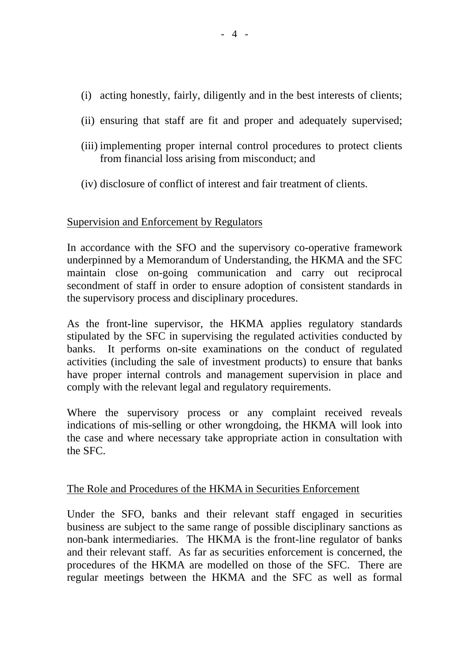- (i) acting honestly, fairly, diligently and in the best interests of clients;
- (ii) ensuring that staff are fit and proper and adequately supervised;
- (iii) implementing proper internal control procedures to protect clients from financial loss arising from misconduct; and
- (iv) disclosure of conflict of interest and fair treatment of clients.

### Supervision and Enforcement by Regulators

In accordance with the SFO and the supervisory co-operative framework underpinned by a Memorandum of Understanding, the HKMA and the SFC maintain close on-going communication and carry out reciprocal secondment of staff in order to ensure adoption of consistent standards in the supervisory process and disciplinary procedures.

As the front-line supervisor, the HKMA applies regulatory standards stipulated by the SFC in supervising the regulated activities conducted by banks. It performs on-site examinations on the conduct of regulated activities (including the sale of investment products) to ensure that banks have proper internal controls and management supervision in place and comply with the relevant legal and regulatory requirements.

Where the supervisory process or any complaint received reveals indications of mis-selling or other wrongdoing, the HKMA will look into the case and where necessary take appropriate action in consultation with the SFC.

### The Role and Procedures of the HKMA in Securities Enforcement

Under the SFO, banks and their relevant staff engaged in securities business are subject to the same range of possible disciplinary sanctions as non-bank intermediaries. The HKMA is the front-line regulator of banks and their relevant staff. As far as securities enforcement is concerned, the procedures of the HKMA are modelled on those of the SFC. There are regular meetings between the HKMA and the SFC as well as formal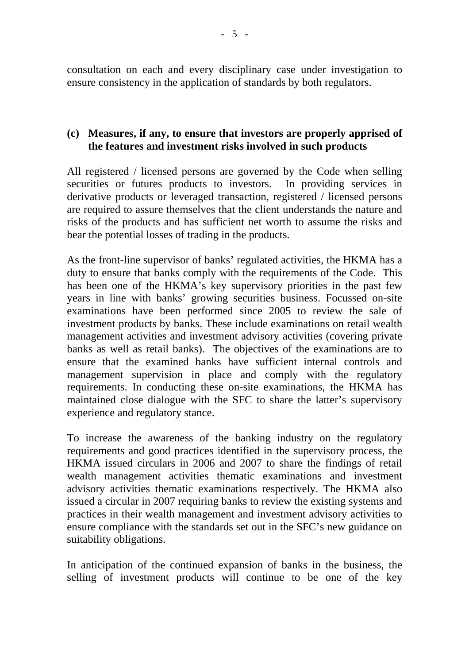consultation on each and every disciplinary case under investigation to ensure consistency in the application of standards by both regulators.

### **(c) Measures, if any, to ensure that investors are properly apprised of the features and investment risks involved in such products**

All registered / licensed persons are governed by the Code when selling securities or futures products to investors. In providing services in derivative products or leveraged transaction, registered / licensed persons are required to assure themselves that the client understands the nature and risks of the products and has sufficient net worth to assume the risks and bear the potential losses of trading in the products.

As the front-line supervisor of banks' regulated activities, the HKMA has a duty to ensure that banks comply with the requirements of the Code. This has been one of the HKMA's key supervisory priorities in the past few years in line with banks' growing securities business. Focussed on-site examinations have been performed since 2005 to review the sale of investment products by banks. These include examinations on retail wealth management activities and investment advisory activities (covering private banks as well as retail banks). The objectives of the examinations are to ensure that the examined banks have sufficient internal controls and management supervision in place and comply with the regulatory requirements. In conducting these on-site examinations, the HKMA has maintained close dialogue with the SFC to share the latter's supervisory experience and regulatory stance.

To increase the awareness of the banking industry on the regulatory requirements and good practices identified in the supervisory process, the HKMA issued circulars in 2006 and 2007 to share the findings of retail wealth management activities thematic examinations and investment advisory activities thematic examinations respectively. The HKMA also issued a circular in 2007 requiring banks to review the existing systems and practices in their wealth management and investment advisory activities to ensure compliance with the standards set out in the SFC's new guidance on suitability obligations.

In anticipation of the continued expansion of banks in the business, the selling of investment products will continue to be one of the key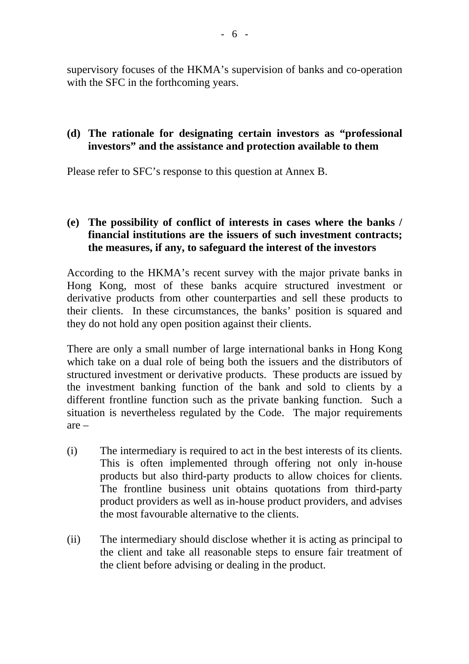supervisory focuses of the HKMA's supervision of banks and co-operation with the SFC in the forthcoming years.

### **(d) The rationale for designating certain investors as "professional investors" and the assistance and protection available to them**

Please refer to SFC's response to this question at Annex B.

# **(e) The possibility of conflict of interests in cases where the banks / financial institutions are the issuers of such investment contracts; the measures, if any, to safeguard the interest of the investors**

According to the HKMA's recent survey with the major private banks in Hong Kong, most of these banks acquire structured investment or derivative products from other counterparties and sell these products to their clients. In these circumstances, the banks' position is squared and they do not hold any open position against their clients.

There are only a small number of large international banks in Hong Kong which take on a dual role of being both the issuers and the distributors of structured investment or derivative products. These products are issued by the investment banking function of the bank and sold to clients by a different frontline function such as the private banking function. Such a situation is nevertheless regulated by the Code. The major requirements are –

- (i) The intermediary is required to act in the best interests of its clients. This is often implemented through offering not only in-house products but also third-party products to allow choices for clients. The frontline business unit obtains quotations from third-party product providers as well as in-house product providers, and advises the most favourable alternative to the clients.
- (ii) The intermediary should disclose whether it is acting as principal to the client and take all reasonable steps to ensure fair treatment of the client before advising or dealing in the product.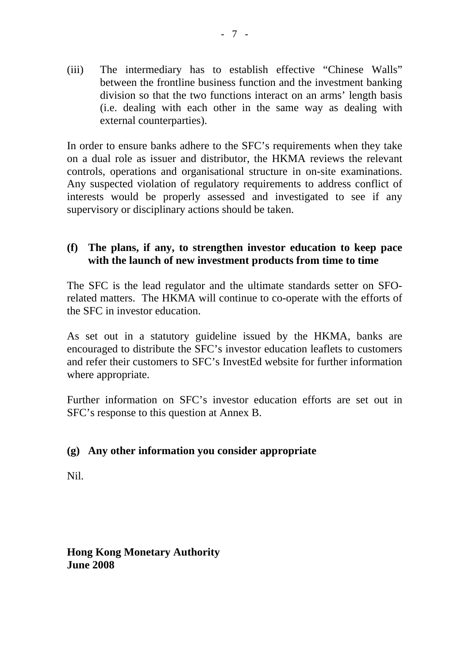(iii) The intermediary has to establish effective "Chinese Walls" between the frontline business function and the investment banking division so that the two functions interact on an arms' length basis (i.e. dealing with each other in the same way as dealing with external counterparties).

In order to ensure banks adhere to the SFC's requirements when they take on a dual role as issuer and distributor, the HKMA reviews the relevant controls, operations and organisational structure in on-site examinations. Any suspected violation of regulatory requirements to address conflict of interests would be properly assessed and investigated to see if any supervisory or disciplinary actions should be taken.

### **(f) The plans, if any, to strengthen investor education to keep pace with the launch of new investment products from time to time**

The SFC is the lead regulator and the ultimate standards setter on SFOrelated matters. The HKMA will continue to co-operate with the efforts of the SFC in investor education.

As set out in a statutory guideline issued by the HKMA, banks are encouraged to distribute the SFC's investor education leaflets to customers and refer their customers to SFC's InvestEd website for further information where appropriate.

Further information on SFC's investor education efforts are set out in SFC's response to this question at Annex B.

### **(g) Any other information you consider appropriate**

Nil.

**Hong Kong Monetary Authority June 2008**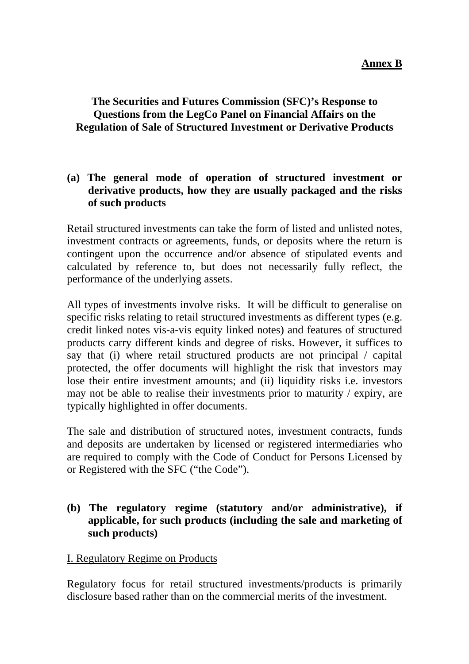# **The Securities and Futures Commission (SFC)'s Response to Questions from the LegCo Panel on Financial Affairs on the Regulation of Sale of Structured Investment or Derivative Products**

## **(a) The general mode of operation of structured investment or derivative products, how they are usually packaged and the risks of such products**

Retail structured investments can take the form of listed and unlisted notes, investment contracts or agreements, funds, or deposits where the return is contingent upon the occurrence and/or absence of stipulated events and calculated by reference to, but does not necessarily fully reflect, the performance of the underlying assets.

All types of investments involve risks. It will be difficult to generalise on specific risks relating to retail structured investments as different types (e.g. credit linked notes vis-a-vis equity linked notes) and features of structured products carry different kinds and degree of risks. However, it suffices to say that (i) where retail structured products are not principal / capital protected, the offer documents will highlight the risk that investors may lose their entire investment amounts; and (ii) liquidity risks i.e. investors may not be able to realise their investments prior to maturity / expiry, are typically highlighted in offer documents.

The sale and distribution of structured notes, investment contracts, funds and deposits are undertaken by licensed or registered intermediaries who are required to comply with the Code of Conduct for Persons Licensed by or Registered with the SFC ("the Code").

## **(b) The regulatory regime (statutory and/or administrative), if applicable, for such products (including the sale and marketing of such products)**

### I. Regulatory Regime on Products

Regulatory focus for retail structured investments/products is primarily disclosure based rather than on the commercial merits of the investment.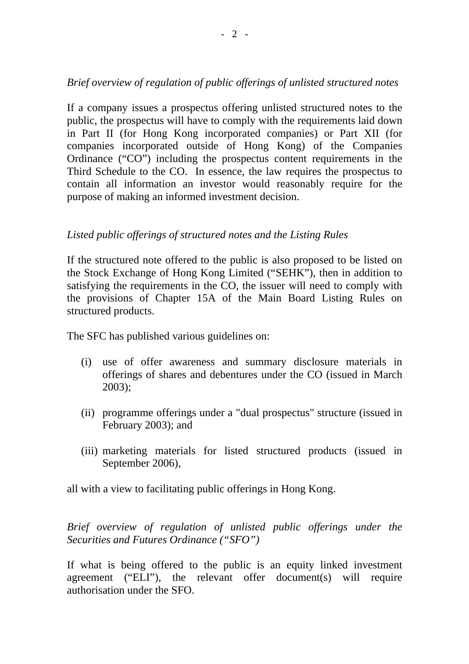# *Brief overview of regulation of public offerings of unlisted structured notes*

If a company issues a prospectus offering unlisted structured notes to the public, the prospectus will have to comply with the requirements laid down in Part II (for Hong Kong incorporated companies) or Part XII (for companies incorporated outside of Hong Kong) of the Companies Ordinance ("CO") including the prospectus content requirements in the Third Schedule to the CO. In essence, the law requires the prospectus to contain all information an investor would reasonably require for the purpose of making an informed investment decision.

## *Listed public offerings of structured notes and the Listing Rules*

If the structured note offered to the public is also proposed to be listed on the Stock Exchange of Hong Kong Limited ("SEHK"), then in addition to satisfying the requirements in the CO, the issuer will need to comply with the provisions of Chapter 15A of the Main Board Listing Rules on structured products.

The SFC has published various guidelines on:

- (i) use of offer awareness and summary disclosure materials in offerings of shares and debentures under the CO (issued in March 2003);
- (ii) programme offerings under a "dual prospectus" structure (issued in February 2003); and
- (iii) marketing materials for listed structured products (issued in September 2006),

all with a view to facilitating public offerings in Hong Kong.

*Brief overview of regulation of unlisted public offerings under the Securities and Futures Ordinance ("SFO")* 

If what is being offered to the public is an equity linked investment agreement ("ELI"), the relevant offer document(s) will require authorisation under the SFO.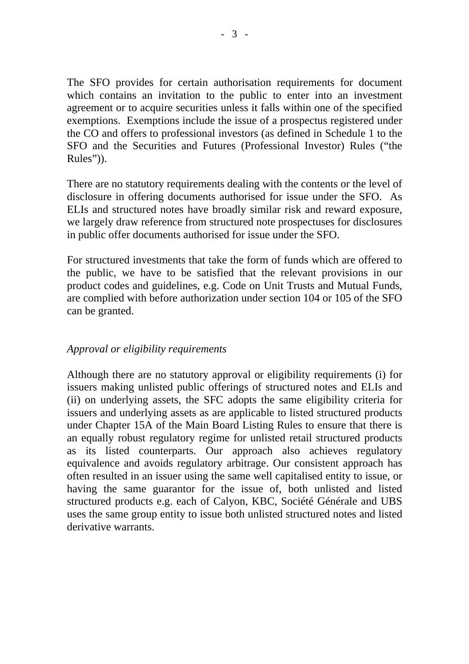The SFO provides for certain authorisation requirements for document which contains an invitation to the public to enter into an investment agreement or to acquire securities unless it falls within one of the specified exemptions. Exemptions include the issue of a prospectus registered under the CO and offers to professional investors (as defined in Schedule 1 to the SFO and the Securities and Futures (Professional Investor) Rules ("the Rules")).

There are no statutory requirements dealing with the contents or the level of disclosure in offering documents authorised for issue under the SFO. As ELIs and structured notes have broadly similar risk and reward exposure, we largely draw reference from structured note prospectuses for disclosures in public offer documents authorised for issue under the SFO.

For structured investments that take the form of funds which are offered to the public, we have to be satisfied that the relevant provisions in our product codes and guidelines, e.g. Code on Unit Trusts and Mutual Funds, are complied with before authorization under section 104 or 105 of the SFO can be granted.

### *Approval or eligibility requirements*

Although there are no statutory approval or eligibility requirements (i) for issuers making unlisted public offerings of structured notes and ELIs and (ii) on underlying assets, the SFC adopts the same eligibility criteria for issuers and underlying assets as are applicable to listed structured products under Chapter 15A of the Main Board Listing Rules to ensure that there is an equally robust regulatory regime for unlisted retail structured products as its listed counterparts. Our approach also achieves regulatory equivalence and avoids regulatory arbitrage. Our consistent approach has often resulted in an issuer using the same well capitalised entity to issue, or having the same guarantor for the issue of, both unlisted and listed structured products e.g. each of Calyon, KBC, Société Générale and UBS uses the same group entity to issue both unlisted structured notes and listed derivative warrants.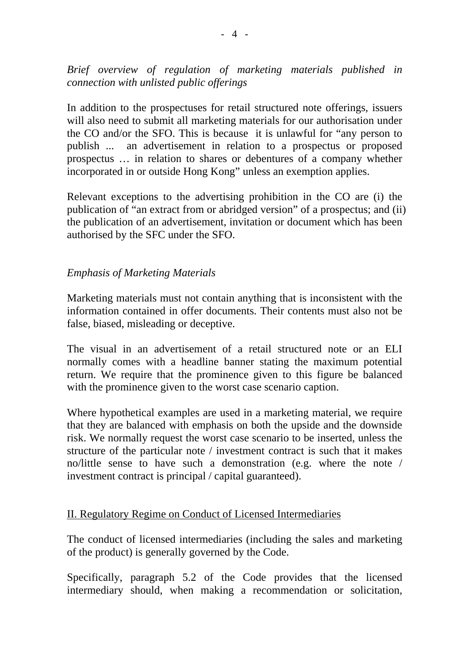*Brief overview of regulation of marketing materials published in connection with unlisted public offerings* 

In addition to the prospectuses for retail structured note offerings, issuers will also need to submit all marketing materials for our authorisation under the CO and/or the SFO. This is because it is unlawful for "any person to publish ... an advertisement in relation to a prospectus or proposed prospectus … in relation to shares or debentures of a company whether incorporated in or outside Hong Kong" unless an exemption applies.

Relevant exceptions to the advertising prohibition in the CO are (i) the publication of "an extract from or abridged version" of a prospectus; and (ii) the publication of an advertisement, invitation or document which has been authorised by the SFC under the SFO.

## *Emphasis of Marketing Materials*

Marketing materials must not contain anything that is inconsistent with the information contained in offer documents. Their contents must also not be false, biased, misleading or deceptive.

The visual in an advertisement of a retail structured note or an ELI normally comes with a headline banner stating the maximum potential return. We require that the prominence given to this figure be balanced with the prominence given to the worst case scenario caption.

Where hypothetical examples are used in a marketing material, we require that they are balanced with emphasis on both the upside and the downside risk. We normally request the worst case scenario to be inserted, unless the structure of the particular note / investment contract is such that it makes no/little sense to have such a demonstration (e.g. where the note / investment contract is principal / capital guaranteed).

### II. Regulatory Regime on Conduct of Licensed Intermediaries

The conduct of licensed intermediaries (including the sales and marketing of the product) is generally governed by the Code.

Specifically, paragraph 5.2 of the Code provides that the licensed intermediary should, when making a recommendation or solicitation,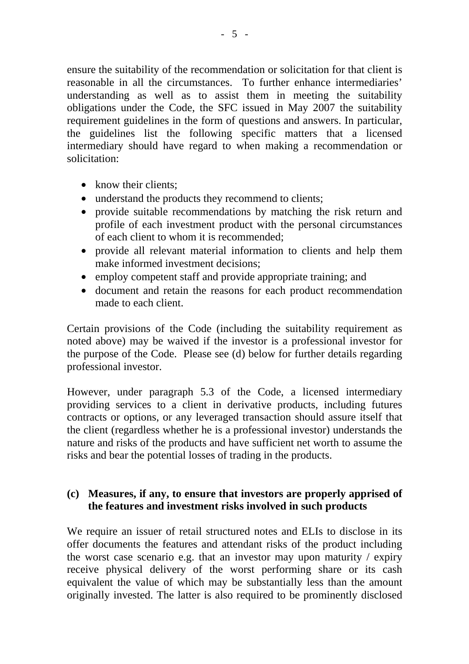ensure the suitability of the recommendation or solicitation for that client is reasonable in all the circumstances. To further enhance intermediaries' understanding as well as to assist them in meeting the suitability obligations under the Code, the SFC issued in May 2007 the suitability requirement guidelines in the form of questions and answers. In particular, the guidelines list the following specific matters that a licensed intermediary should have regard to when making a recommendation or solicitation:

- know their clients;
- understand the products they recommend to clients;
- provide suitable recommendations by matching the risk return and profile of each investment product with the personal circumstances of each client to whom it is recommended;
- provide all relevant material information to clients and help them make informed investment decisions;
- employ competent staff and provide appropriate training; and
- document and retain the reasons for each product recommendation made to each client.

Certain provisions of the Code (including the suitability requirement as noted above) may be waived if the investor is a professional investor for the purpose of the Code. Please see (d) below for further details regarding professional investor.

However, under paragraph 5.3 of the Code, a licensed intermediary providing services to a client in derivative products, including futures contracts or options, or any leveraged transaction should assure itself that the client (regardless whether he is a professional investor) understands the nature and risks of the products and have sufficient net worth to assume the risks and bear the potential losses of trading in the products.

### **(c) Measures, if any, to ensure that investors are properly apprised of the features and investment risks involved in such products**

We require an issuer of retail structured notes and ELIs to disclose in its offer documents the features and attendant risks of the product including the worst case scenario e.g. that an investor may upon maturity / expiry receive physical delivery of the worst performing share or its cash equivalent the value of which may be substantially less than the amount originally invested. The latter is also required to be prominently disclosed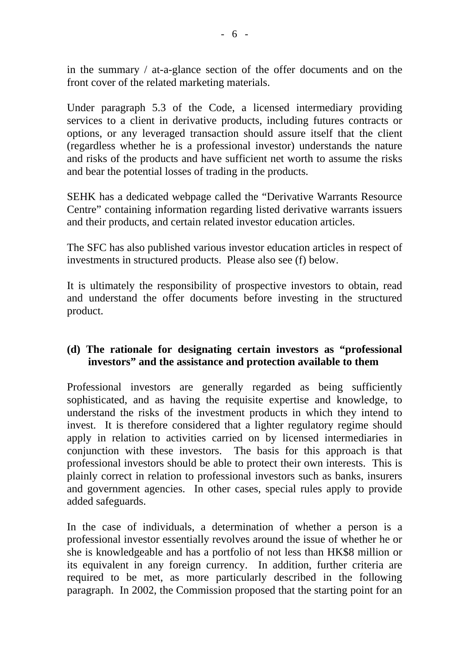in the summary / at-a-glance section of the offer documents and on the front cover of the related marketing materials.

Under paragraph 5.3 of the Code, a licensed intermediary providing services to a client in derivative products, including futures contracts or options, or any leveraged transaction should assure itself that the client (regardless whether he is a professional investor) understands the nature and risks of the products and have sufficient net worth to assume the risks and bear the potential losses of trading in the products.

SEHK has a dedicated webpage called the "Derivative Warrants Resource Centre" containing information regarding listed derivative warrants issuers and their products, and certain related investor education articles.

The SFC has also published various investor education articles in respect of investments in structured products. Please also see (f) below.

It is ultimately the responsibility of prospective investors to obtain, read and understand the offer documents before investing in the structured product.

## **(d) The rationale for designating certain investors as "professional investors" and the assistance and protection available to them**

Professional investors are generally regarded as being sufficiently sophisticated, and as having the requisite expertise and knowledge, to understand the risks of the investment products in which they intend to invest. It is therefore considered that a lighter regulatory regime should apply in relation to activities carried on by licensed intermediaries in conjunction with these investors. The basis for this approach is that professional investors should be able to protect their own interests. This is plainly correct in relation to professional investors such as banks, insurers and government agencies. In other cases, special rules apply to provide added safeguards.

In the case of individuals, a determination of whether a person is a professional investor essentially revolves around the issue of whether he or she is knowledgeable and has a portfolio of not less than HK\$8 million or its equivalent in any foreign currency. In addition, further criteria are required to be met, as more particularly described in the following paragraph. In 2002, the Commission proposed that the starting point for an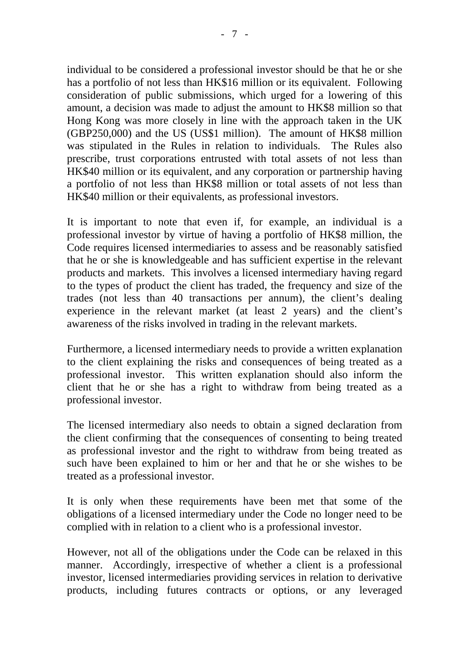individual to be considered a professional investor should be that he or she has a portfolio of not less than HK\$16 million or its equivalent. Following consideration of public submissions, which urged for a lowering of this amount, a decision was made to adjust the amount to HK\$8 million so that Hong Kong was more closely in line with the approach taken in the UK (GBP250,000) and the US (US\$1 million). The amount of HK\$8 million was stipulated in the Rules in relation to individuals. The Rules also prescribe, trust corporations entrusted with total assets of not less than HK\$40 million or its equivalent, and any corporation or partnership having a portfolio of not less than HK\$8 million or total assets of not less than HK\$40 million or their equivalents, as professional investors.

It is important to note that even if, for example, an individual is a professional investor by virtue of having a portfolio of HK\$8 million, the Code requires licensed intermediaries to assess and be reasonably satisfied that he or she is knowledgeable and has sufficient expertise in the relevant products and markets. This involves a licensed intermediary having regard to the types of product the client has traded, the frequency and size of the trades (not less than 40 transactions per annum), the client's dealing experience in the relevant market (at least 2 years) and the client's awareness of the risks involved in trading in the relevant markets.

Furthermore, a licensed intermediary needs to provide a written explanation to the client explaining the risks and consequences of being treated as a professional investor. This written explanation should also inform the client that he or she has a right to withdraw from being treated as a professional investor.

The licensed intermediary also needs to obtain a signed declaration from the client confirming that the consequences of consenting to being treated as professional investor and the right to withdraw from being treated as such have been explained to him or her and that he or she wishes to be treated as a professional investor.

It is only when these requirements have been met that some of the obligations of a licensed intermediary under the Code no longer need to be complied with in relation to a client who is a professional investor.

However, not all of the obligations under the Code can be relaxed in this manner. Accordingly, irrespective of whether a client is a professional investor, licensed intermediaries providing services in relation to derivative products, including futures contracts or options, or any leveraged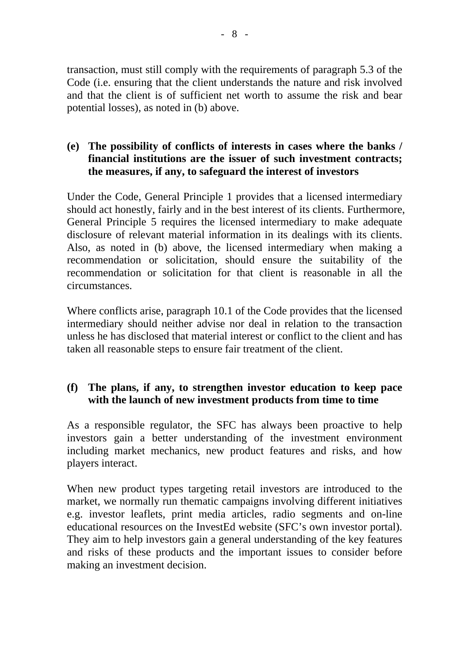transaction, must still comply with the requirements of paragraph 5.3 of the Code (i.e. ensuring that the client understands the nature and risk involved and that the client is of sufficient net worth to assume the risk and bear potential losses), as noted in (b) above.

### **(e) The possibility of conflicts of interests in cases where the banks / financial institutions are the issuer of such investment contracts; the measures, if any, to safeguard the interest of investors**

Under the Code, General Principle 1 provides that a licensed intermediary should act honestly, fairly and in the best interest of its clients. Furthermore, General Principle 5 requires the licensed intermediary to make adequate disclosure of relevant material information in its dealings with its clients. Also, as noted in (b) above, the licensed intermediary when making a recommendation or solicitation, should ensure the suitability of the recommendation or solicitation for that client is reasonable in all the circumstances.

Where conflicts arise, paragraph 10.1 of the Code provides that the licensed intermediary should neither advise nor deal in relation to the transaction unless he has disclosed that material interest or conflict to the client and has taken all reasonable steps to ensure fair treatment of the client.

# **(f) The plans, if any, to strengthen investor education to keep pace with the launch of new investment products from time to time**

As a responsible regulator, the SFC has always been proactive to help investors gain a better understanding of the investment environment including market mechanics, new product features and risks, and how players interact.

When new product types targeting retail investors are introduced to the market, we normally run thematic campaigns involving different initiatives e.g. investor leaflets, print media articles, radio segments and on-line educational resources on the InvestEd website (SFC's own investor portal). They aim to help investors gain a general understanding of the key features and risks of these products and the important issues to consider before making an investment decision.